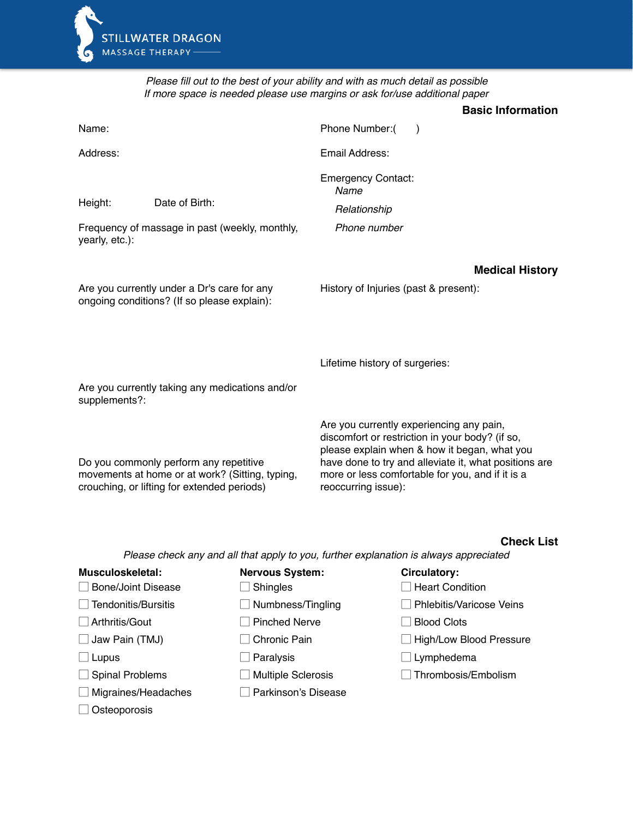

*Please fill out to the best of your ability and with as much detail as possible If more space is needed please use margins or ask for/use additional paper*

|                                                                                            |                                                                                                                                          |                                                                                                                                                                        | <b>Basic Information</b>                                                                              |
|--------------------------------------------------------------------------------------------|------------------------------------------------------------------------------------------------------------------------------------------|------------------------------------------------------------------------------------------------------------------------------------------------------------------------|-------------------------------------------------------------------------------------------------------|
| Name:                                                                                      |                                                                                                                                          | Phone Number:(<br>$\lambda$                                                                                                                                            |                                                                                                       |
| Address:                                                                                   |                                                                                                                                          | Email Address:                                                                                                                                                         |                                                                                                       |
|                                                                                            |                                                                                                                                          | <b>Emergency Contact:</b><br>Name                                                                                                                                      |                                                                                                       |
| Height:                                                                                    | Date of Birth:                                                                                                                           | Relationship                                                                                                                                                           |                                                                                                       |
| yearly, etc.):                                                                             | Frequency of massage in past (weekly, monthly,                                                                                           | Phone number                                                                                                                                                           |                                                                                                       |
|                                                                                            |                                                                                                                                          |                                                                                                                                                                        | <b>Medical History</b>                                                                                |
| Are you currently under a Dr's care for any<br>ongoing conditions? (If so please explain): |                                                                                                                                          | History of Injuries (past & present):                                                                                                                                  |                                                                                                       |
|                                                                                            |                                                                                                                                          | Lifetime history of surgeries:                                                                                                                                         |                                                                                                       |
| supplements?:                                                                              | Are you currently taking any medications and/or                                                                                          |                                                                                                                                                                        |                                                                                                       |
|                                                                                            | Do you commonly perform any repetitive<br>movements at home or at work? (Sitting, typing,<br>crouching, or lifting for extended periods) | Are you currently experiencing any pain,<br>discomfort or restriction in your body? (if so,<br>more or less comfortable for you, and if it is a<br>reoccurring issue): | please explain when & how it began, what you<br>have done to try and alleviate it, what positions are |

## **Check List**

*Please check any and all that apply to you, further explanation is always appreciated*

| Musculoskeletal:<br>Bone/Joint Disease | <b>Nervous System:</b><br><b>Shingles</b> | Circulatory:<br><b>Heart Condition</b> |
|----------------------------------------|-------------------------------------------|----------------------------------------|
| Tendonitis/Bursitis                    | Numbness/Tingling                         | <b>Phlebitis/Varicose Veins</b>        |
| Arthritis/Gout                         | <b>Pinched Nerve</b>                      | <b>Blood Clots</b>                     |
| Jaw Pain (TMJ)                         | Chronic Pain                              | <b>High/Low Blood Pressure</b>         |
| Lupus                                  | Paralysis                                 | Lymphedema                             |
| <b>Spinal Problems</b>                 | <b>Multiple Sclerosis</b>                 | Thrombosis/Embolism                    |
| Migraines/Headaches                    | Parkinson's Disease                       |                                        |
| Osteoporosis                           |                                           |                                        |